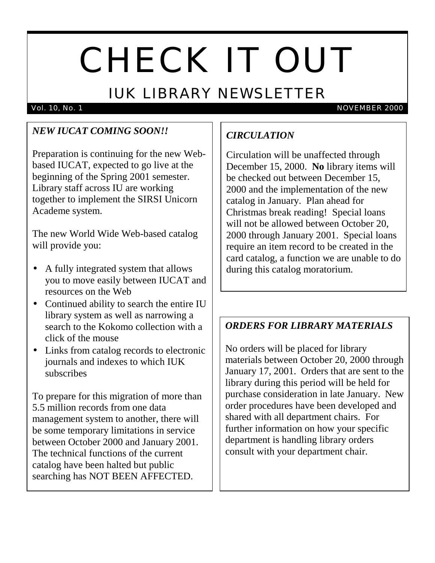# CHECK IT OUT

## IUK LIBRARY NEWSLETTER

#### Vol. 10, No. 1 NOVEMBER 2000

#### *NEW IUCAT COMING SOON!!*

Preparation is continuing for the new Webbased IUCAT, expected to go live at the beginning of the Spring 2001 semester. Library staff across IU are working together to implement the SIRSI Unicorn Academe system.

The new World Wide Web-based catalog will provide you:

- A fully integrated system that allows you to move easily between IUCAT and resources on the Web
- Continued ability to search the entire IU library system as well as narrowing a search to the Kokomo collection with a click of the mouse
- Links from catalog records to electronic journals and indexes to which IUK subscribes

To prepare for this migration of more than 5.5 million records from one data management system to another, there will be some temporary limitations in service between October 2000 and January 2001. The technical functions of the current catalog have been halted but public searching has NOT BEEN AFFECTED.

### *CIRCULATION*

Circulation will be unaffected through December 15, 2000. **No** library items will be checked out between December 15, 2000 and the implementation of the new catalog in January. Plan ahead for Christmas break reading! Special loans will not be allowed between October 20, 2000 through January 2001. Special loans require an item record to be created in the card catalog, a function we are unable to do during this catalog moratorium.

#### *ORDERS FOR LIBRARY MATERIALS*

No orders will be placed for library materials between October 20, 2000 through January 17, 2001. Orders that are sent to the library during this period will be held for purchase consideration in late January. New order procedures have been developed and shared with all department chairs. For further information on how your specific department is handling library orders consult with your department chair.